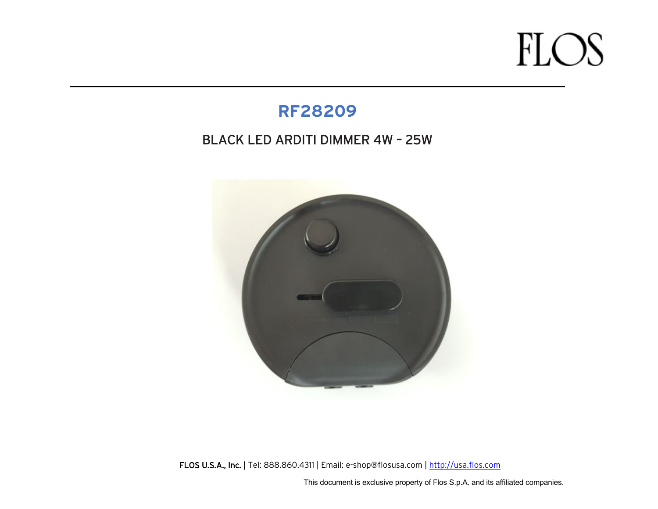### **RF28209**

#### BLACK LED ARDITI DIMMER 4W – 25W



FLOS U.S.A., Inc. | Tel: 888.860.4311 | Email: e-shop@flosusa.com | http://usa.flos.com

This document is exclusive property of Flos S.p.A. and its affiliated companies.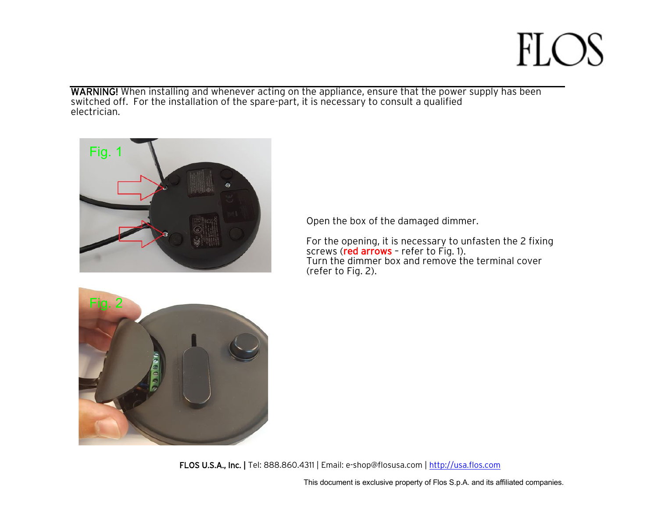WARNING! When installing and whenever acting on the appliance, ensure that the power supply has been switched off. For the installation of the spare-part, it is necessary to consult a qualified electrician.



Open the box of the damaged dimmer.

For the opening, it is necessary to unfasten the 2 fixing screws (red arrows - refer to Fig. 1). Turn the dimmer box and remove the terminal cover (refer to Fig. 2).



FLOS U.S.A., Inc. | Tel: 888.860.4311 | Email: e-shop@flosusa.com | http://usa.flos.com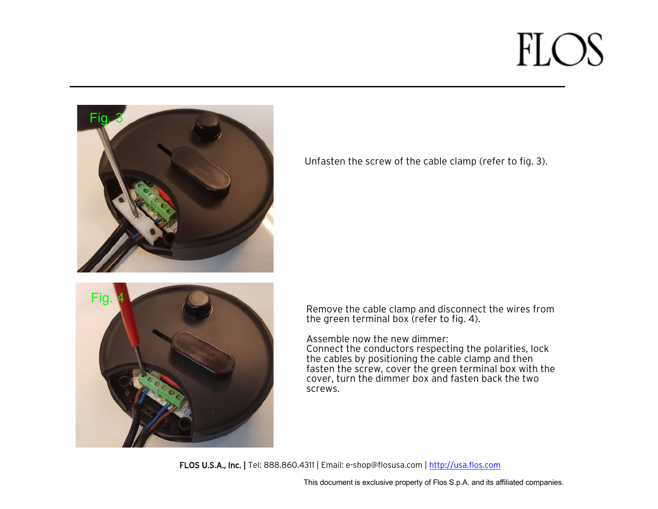



Unfasten the screw of the cable clamp (refer to fig. 3).

Remove the cable clamp and disconnect the wires from the green terminal box (refer to fig. 4).

Assemble now the new dimmer:

Connect the conductors respecting the polarities, lock the cables by positioning the cable clamp and then fasten the screw, cover the green terminal box with the cover, turn the dimmer box and fasten back the two screws.

FLOS U.S.A., Inc. | Tel: 888.860.4311 | Email: e-shop@flosusa.com | http://usa.flos.com